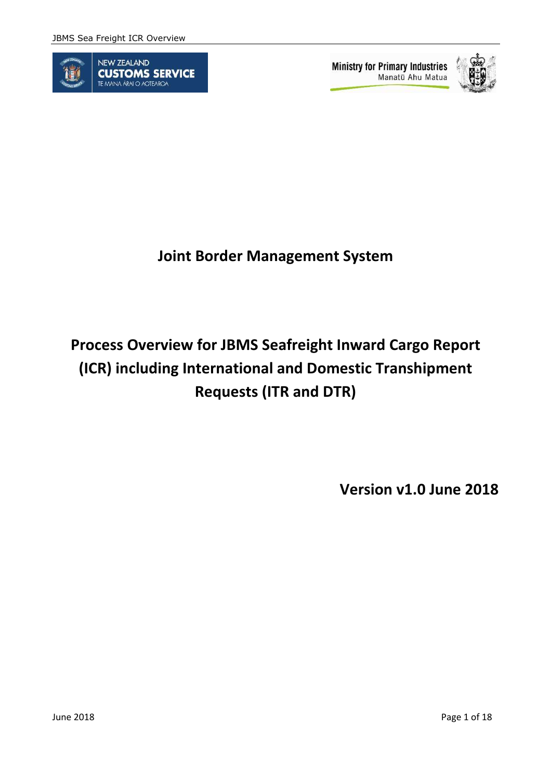

**Ministry for Primary Industries** Manatū Ahu Matua



# **Joint Border Management System**

# **Process Overview for JBMS Seafreight Inward Cargo Report (ICR) including International and Domestic Transhipment Requests (ITR and DTR)**

**Version v1.0 June 2018**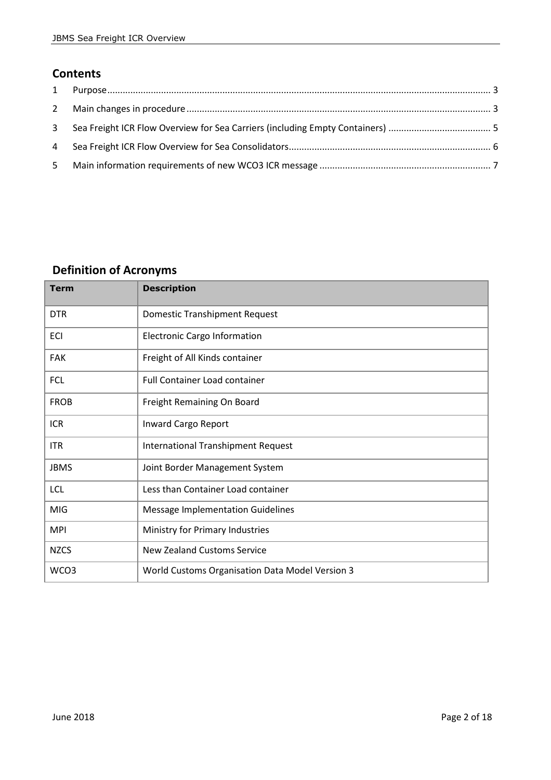### **Contents**

| 5 |  |
|---|--|

# **Definition of Acronyms**

| <b>Term</b> | <b>Description</b>                              |
|-------------|-------------------------------------------------|
| <b>DTR</b>  | <b>Domestic Transhipment Request</b>            |
| <b>ECI</b>  | <b>Electronic Cargo Information</b>             |
| <b>FAK</b>  | Freight of All Kinds container                  |
| <b>FCL</b>  | Full Container Load container                   |
| <b>FROB</b> | Freight Remaining On Board                      |
| <b>ICR</b>  | Inward Cargo Report                             |
| <b>ITR</b>  | <b>International Transhipment Request</b>       |
| <b>JBMS</b> | Joint Border Management System                  |
| <b>LCL</b>  | Less than Container Load container              |
| <b>MIG</b>  | <b>Message Implementation Guidelines</b>        |
| <b>MPI</b>  | Ministry for Primary Industries                 |
| <b>NZCS</b> | <b>New Zealand Customs Service</b>              |
| WCO3        | World Customs Organisation Data Model Version 3 |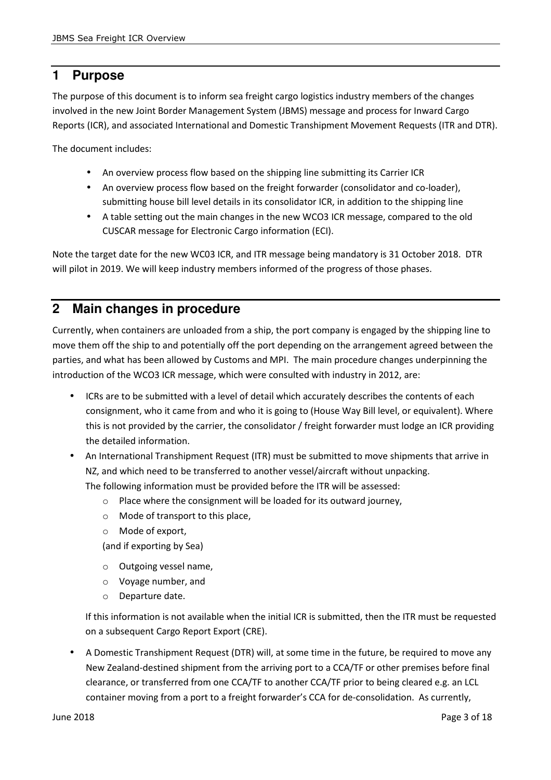# **1 Purpose**

The purpose of this document is to inform sea freight cargo logistics industry members of the changes involved in the new Joint Border Management System (JBMS) message and process for Inward Cargo Reports (ICR), and associated International and Domestic Transhipment Movement Requests (ITR and DTR).

The document includes:

- An overview process flow based on the shipping line submitting its Carrier ICR
- An overview process flow based on the freight forwarder (consolidator and co-loader), submitting house bill level details in its consolidator ICR, in addition to the shipping line
- A table setting out the main changes in the new WCO3 ICR message, compared to the old CUSCAR message for Electronic Cargo information (ECI).

Note the target date for the new WC03 ICR, and ITR message being mandatory is 31 October 2018. DTR will pilot in 2019. We will keep industry members informed of the progress of those phases.

## **2 Main changes in procedure**

Currently, when containers are unloaded from a ship, the port company is engaged by the shipping line to move them off the ship to and potentially off the port depending on the arrangement agreed between the parties, and what has been allowed by Customs and MPI. The main procedure changes underpinning the introduction of the WCO3 ICR message, which were consulted with industry in 2012, are:

- ICRs are to be submitted with a level of detail which accurately describes the contents of each consignment, who it came from and who it is going to (House Way Bill level, or equivalent). Where this is not provided by the carrier, the consolidator / freight forwarder must lodge an ICR providing the detailed information.
- An International Transhipment Request (ITR) must be submitted to move shipments that arrive in NZ, and which need to be transferred to another vessel/aircraft without unpacking. The following information must be provided before the ITR will be assessed:
	- o Place where the consignment will be loaded for its outward journey,
	- o Mode of transport to this place,
	- o Mode of export,

(and if exporting by Sea)

- o Outgoing vessel name,
- o Voyage number, and
- o Departure date.

If this information is not available when the initial ICR is submitted, then the ITR must be requested on a subsequent Cargo Report Export (CRE).

• A Domestic Transhipment Request (DTR) will, at some time in the future, be required to move any New Zealand-destined shipment from the arriving port to a CCA/TF or other premises before final clearance, or transferred from one CCA/TF to another CCA/TF prior to being cleared e.g. an LCL container moving from a port to a freight forwarder's CCA for de-consolidation. As currently,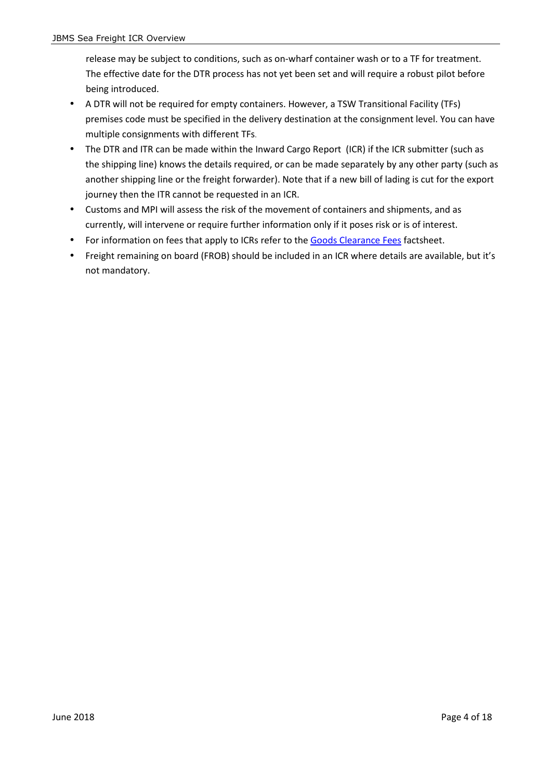release may be subject to conditions, such as on-wharf container wash or to a TF for treatment. The effective date for the DTR process has not yet been set and will require a robust pilot before being introduced.

- A DTR will not be required for empty containers. However, a TSW Transitional Facility (TFs) premises code must be specified in the delivery destination at the consignment level. You can have multiple consignments with different TFs.
- The DTR and ITR can be made within the Inward Cargo Report (ICR) if the ICR submitter (such as the shipping line) knows the details required, or can be made separately by any other party (such as another shipping line or the freight forwarder). Note that if a new bill of lading is cut for the export journey then the ITR cannot be requested in an ICR.
- Customs and MPI will assess the risk of the movement of containers and shipments, and as currently, will intervene or require further information only if it poses risk or is of interest.
- For information on fees that apply to ICRs refer to the Goods Clearance Fees factsheet.
- Freight remaining on board (FROB) should be included in an ICR where details are available, but it's not mandatory.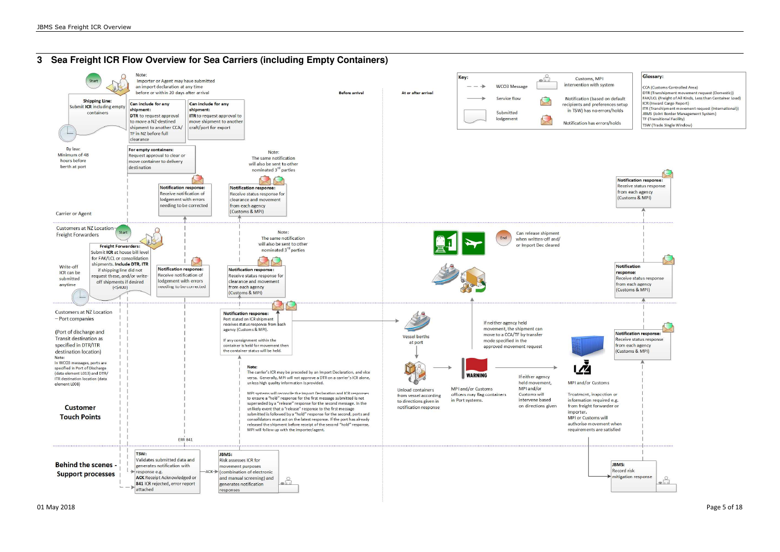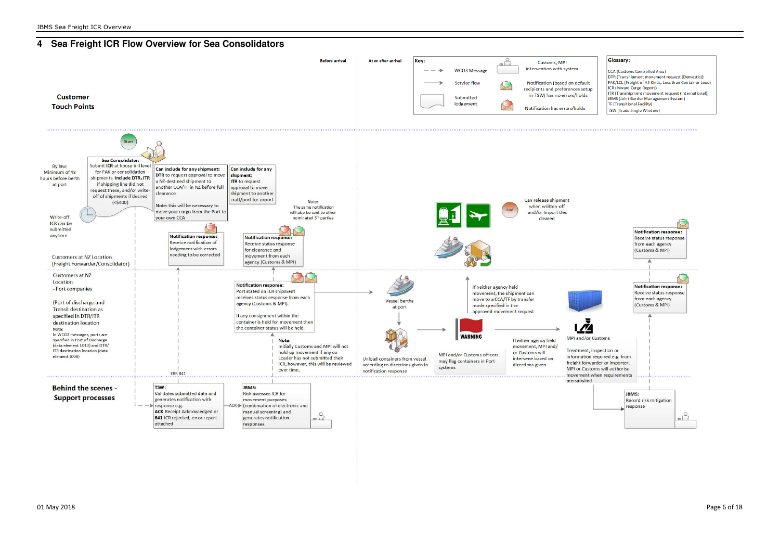

DTR (Transhipment movement request (Domestic)) FAK/LCL (Freight of All Kinds, Less than Container Load) ITR (Transhipment movement request (International))

### **4 Sea Freight ICR Flow Overview for Sea Consolidators**

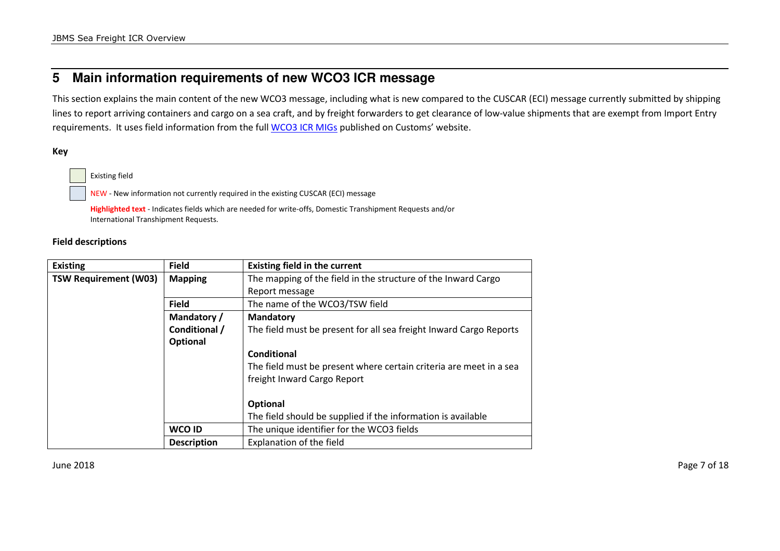# **5 Main information requirements of new WCO3 ICR message**

This section explains the main content of the new WCO3 message, including what is new compared to the CUSCAR (ECI) message currently submitted by shipping lines to report arriving containers and cargo on a sea craft, and by freight forwarders to get clearance of low-value shipments that are exempt from Import Entry requirements. It uses field information from the full WCO3 ICR MIGs published on Customs' website.

**Key** 

Existing field

NEW - New information not currently required in the existing CUSCAR (ECI) message

**Highlighted text** - Indicates fields which are needed for write-offs, Domestic Transhipment Requests and/or International Transhipment Requests.

### **Field descriptions**

| <b>Existing</b>              | <b>Field</b>       | <b>Existing field in the current</b>                               |
|------------------------------|--------------------|--------------------------------------------------------------------|
| <b>TSW Requirement (W03)</b> | <b>Mapping</b>     | The mapping of the field in the structure of the Inward Cargo      |
|                              |                    | Report message                                                     |
|                              | <b>Field</b>       | The name of the WCO3/TSW field                                     |
|                              | Mandatory /        | <b>Mandatory</b>                                                   |
|                              | Conditional /      | The field must be present for all sea freight Inward Cargo Reports |
|                              | Optional           |                                                                    |
|                              |                    | Conditional                                                        |
|                              |                    | The field must be present where certain criteria are meet in a sea |
|                              |                    | freight Inward Cargo Report                                        |
|                              |                    |                                                                    |
|                              |                    | <b>Optional</b>                                                    |
|                              |                    | The field should be supplied if the information is available       |
|                              | WCO ID             | The unique identifier for the WCO3 fields                          |
|                              | <b>Description</b> | Explanation of the field                                           |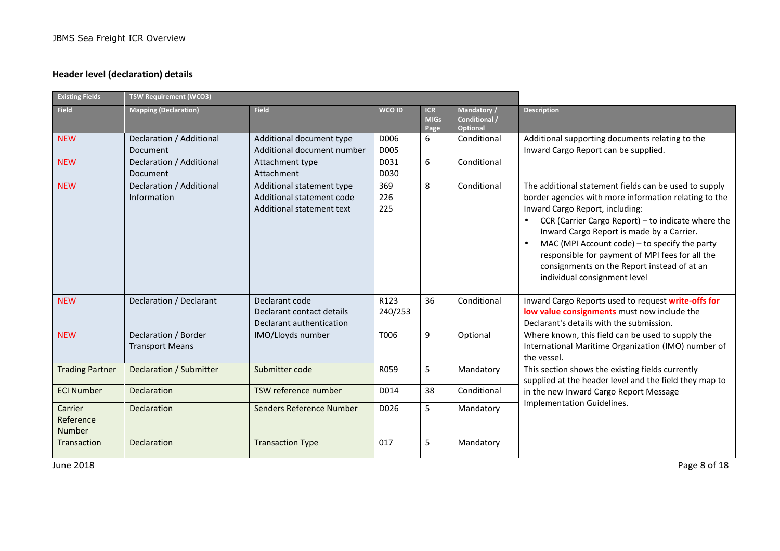### **Header level (declaration) details**

| <b>Existing Fields</b>         | TSW Requirement (WCO3)                         |                                                                                     |                   |                                   |                                          |                                                                                                                                                                                                                                                                                                                                                                                                                                                      |
|--------------------------------|------------------------------------------------|-------------------------------------------------------------------------------------|-------------------|-----------------------------------|------------------------------------------|------------------------------------------------------------------------------------------------------------------------------------------------------------------------------------------------------------------------------------------------------------------------------------------------------------------------------------------------------------------------------------------------------------------------------------------------------|
| <b>Field</b>                   | <b>Mapping (Declaration)</b>                   | <b>Field</b>                                                                        | WCO ID            | <b>ICR</b><br><b>MIGs</b><br>Page | Mandatory /<br>Conditional /<br>Optional | <b>Description</b>                                                                                                                                                                                                                                                                                                                                                                                                                                   |
| <b>NEW</b>                     | Declaration / Additional<br>Document           | Additional document type<br>Additional document number                              | D006<br>D005      | 6                                 | Conditional                              | Additional supporting documents relating to the<br>Inward Cargo Report can be supplied.                                                                                                                                                                                                                                                                                                                                                              |
| <b>NEW</b>                     | Declaration / Additional<br>Document           | Attachment type<br>Attachment                                                       | D031<br>D030      | 6                                 | Conditional                              |                                                                                                                                                                                                                                                                                                                                                                                                                                                      |
| <b>NEW</b>                     | Declaration / Additional<br>Information        | Additional statement type<br>Additional statement code<br>Additional statement text | 369<br>226<br>225 | 8                                 | Conditional                              | The additional statement fields can be used to supply<br>border agencies with more information relating to the<br>Inward Cargo Report, including:<br>CCR (Carrier Cargo Report) - to indicate where the<br>Inward Cargo Report is made by a Carrier.<br>MAC (MPI Account code) - to specify the party<br>$\bullet$<br>responsible for payment of MPI fees for all the<br>consignments on the Report instead of at an<br>individual consignment level |
| <b>NEW</b>                     | Declaration / Declarant                        | Declarant code<br>Declarant contact details<br>Declarant authentication             | R123<br>240/253   | 36                                | Conditional                              | Inward Cargo Reports used to request write-offs for<br>low value consignments must now include the<br>Declarant's details with the submission.                                                                                                                                                                                                                                                                                                       |
| <b>NEW</b>                     | Declaration / Border<br><b>Transport Means</b> | IMO/Lloyds number                                                                   | T006              | 9                                 | Optional                                 | Where known, this field can be used to supply the<br>International Maritime Organization (IMO) number of<br>the vessel.                                                                                                                                                                                                                                                                                                                              |
| <b>Trading Partner</b>         | Declaration / Submitter                        | Submitter code                                                                      | R059              | 5                                 | Mandatory                                | This section shows the existing fields currently<br>supplied at the header level and the field they map to                                                                                                                                                                                                                                                                                                                                           |
| <b>ECI Number</b>              | <b>Declaration</b>                             | TSW reference number                                                                | D014              | 38                                | Conditional                              | in the new Inward Cargo Report Message<br>Implementation Guidelines.                                                                                                                                                                                                                                                                                                                                                                                 |
| Carrier<br>Reference<br>Number | Declaration                                    | <b>Senders Reference Number</b>                                                     | D026              | 5                                 | Mandatory                                |                                                                                                                                                                                                                                                                                                                                                                                                                                                      |
| Transaction                    | <b>Declaration</b>                             | <b>Transaction Type</b>                                                             | 017               | 5                                 | Mandatory                                |                                                                                                                                                                                                                                                                                                                                                                                                                                                      |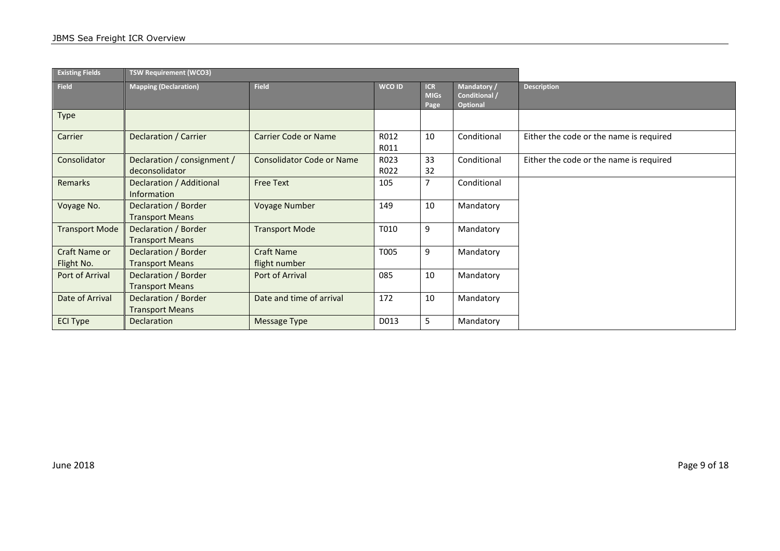| <b>Existing Fields</b>      | <b>TSW Requirement (WCO3)</b>                  |                                    |              |                                   |                                                 |                                         |
|-----------------------------|------------------------------------------------|------------------------------------|--------------|-----------------------------------|-------------------------------------------------|-----------------------------------------|
| <b>Field</b>                | <b>Mapping (Declaration)</b>                   | <b>Field</b>                       | WCO ID       | <b>ICR</b><br><b>MIGs</b><br>Page | Mandatory /<br>Conditional /<br><b>Optional</b> | <b>Description</b>                      |
| Type                        |                                                |                                    |              |                                   |                                                 |                                         |
| Carrier                     | Declaration / Carrier                          | <b>Carrier Code or Name</b>        | R012<br>R011 | 10                                | Conditional                                     | Either the code or the name is required |
| Consolidator                | Declaration / consignment /<br>deconsolidator  | <b>Consolidator Code or Name</b>   | R023<br>R022 | 33<br>32                          | Conditional                                     | Either the code or the name is required |
| Remarks                     | Declaration / Additional<br>Information        | <b>Free Text</b>                   | 105          |                                   | Conditional                                     |                                         |
| Voyage No.                  | Declaration / Border<br><b>Transport Means</b> | <b>Voyage Number</b>               | 149          | 10                                | Mandatory                                       |                                         |
| <b>Transport Mode</b>       | Declaration / Border<br><b>Transport Means</b> | <b>Transport Mode</b>              | T010         | 9                                 | Mandatory                                       |                                         |
| Craft Name or<br>Flight No. | Declaration / Border<br><b>Transport Means</b> | <b>Craft Name</b><br>flight number | T005         | 9                                 | Mandatory                                       |                                         |
| Port of Arrival             | Declaration / Border<br><b>Transport Means</b> | Port of Arrival                    | 085          | 10                                | Mandatory                                       |                                         |
| Date of Arrival             | Declaration / Border<br><b>Transport Means</b> | Date and time of arrival           | 172          | 10                                | Mandatory                                       |                                         |
| <b>ECI Type</b>             | <b>Declaration</b>                             | Message Type                       | D013         | 5                                 | Mandatory                                       |                                         |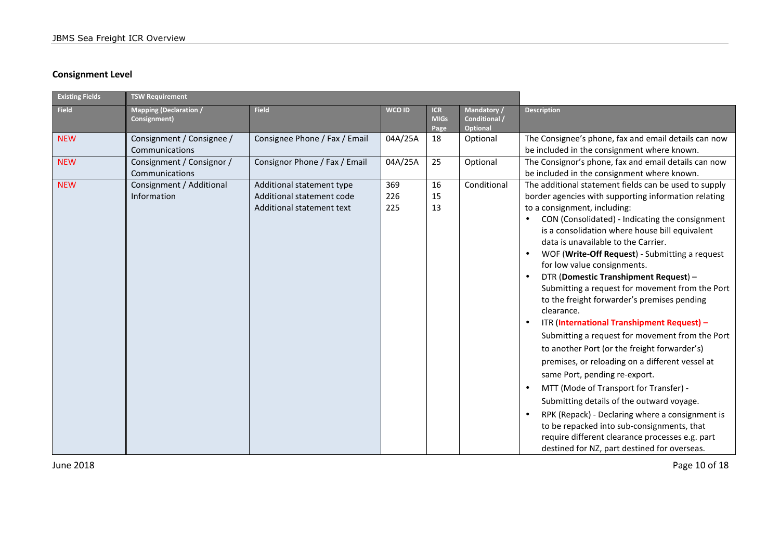### **Consignment Level**

| <b>Existing Fields</b> | <b>TSW Requirement</b>                        |                                                                                     |                   |                                   |                                                 |                                                                                                                                                                                                                                                                                                                                                                                                                                                                                                                                                                                                                                                                                                                                                                                                                                                                                                                                                                                                                                                                                               |
|------------------------|-----------------------------------------------|-------------------------------------------------------------------------------------|-------------------|-----------------------------------|-------------------------------------------------|-----------------------------------------------------------------------------------------------------------------------------------------------------------------------------------------------------------------------------------------------------------------------------------------------------------------------------------------------------------------------------------------------------------------------------------------------------------------------------------------------------------------------------------------------------------------------------------------------------------------------------------------------------------------------------------------------------------------------------------------------------------------------------------------------------------------------------------------------------------------------------------------------------------------------------------------------------------------------------------------------------------------------------------------------------------------------------------------------|
| <b>Field</b>           | <b>Mapping (Declaration /</b><br>Consignment) | <b>Field</b>                                                                        | <b>WCO ID</b>     | <b>ICR</b><br><b>MIGs</b><br>Page | Mandatory /<br>Conditional /<br><b>Optional</b> | <b>Description</b>                                                                                                                                                                                                                                                                                                                                                                                                                                                                                                                                                                                                                                                                                                                                                                                                                                                                                                                                                                                                                                                                            |
| <b>NEW</b>             | Consignment / Consignee /<br>Communications   | Consignee Phone / Fax / Email                                                       | 04A/25A           | 18                                | Optional                                        | The Consignee's phone, fax and email details can now<br>be included in the consignment where known.                                                                                                                                                                                                                                                                                                                                                                                                                                                                                                                                                                                                                                                                                                                                                                                                                                                                                                                                                                                           |
| <b>NEW</b>             | Consignment / Consignor /<br>Communications   | Consignor Phone / Fax / Email                                                       | 04A/25A           | 25                                | Optional                                        | The Consignor's phone, fax and email details can now<br>be included in the consignment where known.                                                                                                                                                                                                                                                                                                                                                                                                                                                                                                                                                                                                                                                                                                                                                                                                                                                                                                                                                                                           |
| <b>NEW</b>             | Consignment / Additional<br>Information       | Additional statement type<br>Additional statement code<br>Additional statement text | 369<br>226<br>225 | 16<br>15<br>13                    | Conditional                                     | The additional statement fields can be used to supply<br>border agencies with supporting information relating<br>to a consignment, including:<br>CON (Consolidated) - Indicating the consignment<br>is a consolidation where house bill equivalent<br>data is unavailable to the Carrier.<br>WOF (Write-Off Request) - Submitting a request<br>for low value consignments.<br>DTR (Domestic Transhipment Request) -<br>Submitting a request for movement from the Port<br>to the freight forwarder's premises pending<br>clearance.<br>ITR (International Transhipment Request) -<br>$\bullet$<br>Submitting a request for movement from the Port<br>to another Port (or the freight forwarder's)<br>premises, or reloading on a different vessel at<br>same Port, pending re-export.<br>MTT (Mode of Transport for Transfer) -<br>Submitting details of the outward voyage.<br>RPK (Repack) - Declaring where a consignment is<br>$\bullet$<br>to be repacked into sub-consignments, that<br>require different clearance processes e.g. part<br>destined for NZ, part destined for overseas. |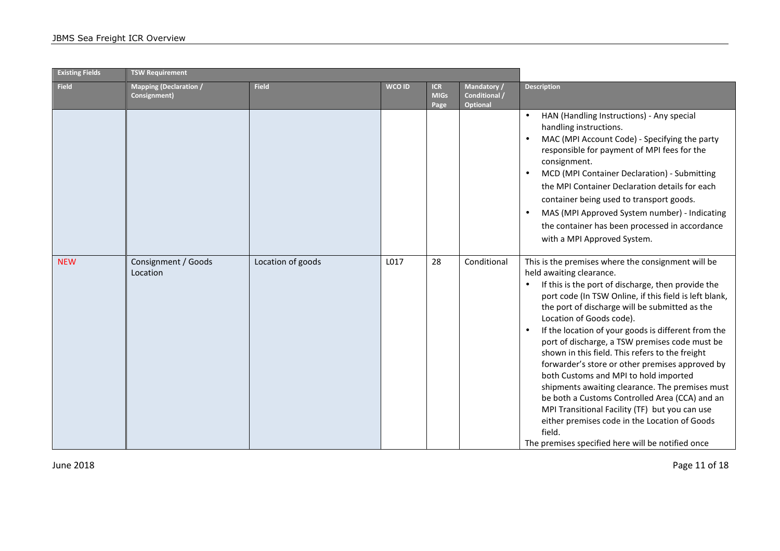| <b>Existing Fields</b> | <b>TSW Requirement</b>                        |                   |        |                                   |                                                 |                                                                                                                                                                                                                                                                                                                                                                                                                                                                                                                                                                                                                                                                                                                                                                                                                          |
|------------------------|-----------------------------------------------|-------------------|--------|-----------------------------------|-------------------------------------------------|--------------------------------------------------------------------------------------------------------------------------------------------------------------------------------------------------------------------------------------------------------------------------------------------------------------------------------------------------------------------------------------------------------------------------------------------------------------------------------------------------------------------------------------------------------------------------------------------------------------------------------------------------------------------------------------------------------------------------------------------------------------------------------------------------------------------------|
| <b>Field</b>           | <b>Mapping (Declaration /</b><br>Consignment) | <b>Field</b>      | WCO ID | <b>ICR</b><br><b>MIGs</b><br>Page | Mandatory /<br>Conditional /<br><b>Optional</b> | <b>Description</b>                                                                                                                                                                                                                                                                                                                                                                                                                                                                                                                                                                                                                                                                                                                                                                                                       |
|                        |                                               |                   |        |                                   |                                                 | HAN (Handling Instructions) - Any special<br>handling instructions.<br>MAC (MPI Account Code) - Specifying the party<br>responsible for payment of MPI fees for the<br>consignment.<br>MCD (MPI Container Declaration) - Submitting<br>$\bullet$<br>the MPI Container Declaration details for each<br>container being used to transport goods.<br>MAS (MPI Approved System number) - Indicating<br>$\bullet$<br>the container has been processed in accordance<br>with a MPI Approved System.                                                                                                                                                                                                                                                                                                                            |
| <b>NEW</b>             | Consignment / Goods<br>Location               | Location of goods | L017   | 28                                | Conditional                                     | This is the premises where the consignment will be<br>held awaiting clearance.<br>If this is the port of discharge, then provide the<br>port code (In TSW Online, if this field is left blank,<br>the port of discharge will be submitted as the<br>Location of Goods code).<br>If the location of your goods is different from the<br>$\bullet$<br>port of discharge, a TSW premises code must be<br>shown in this field. This refers to the freight<br>forwarder's store or other premises approved by<br>both Customs and MPI to hold imported<br>shipments awaiting clearance. The premises must<br>be both a Customs Controlled Area (CCA) and an<br>MPI Transitional Facility (TF) but you can use<br>either premises code in the Location of Goods<br>field.<br>The premises specified here will be notified once |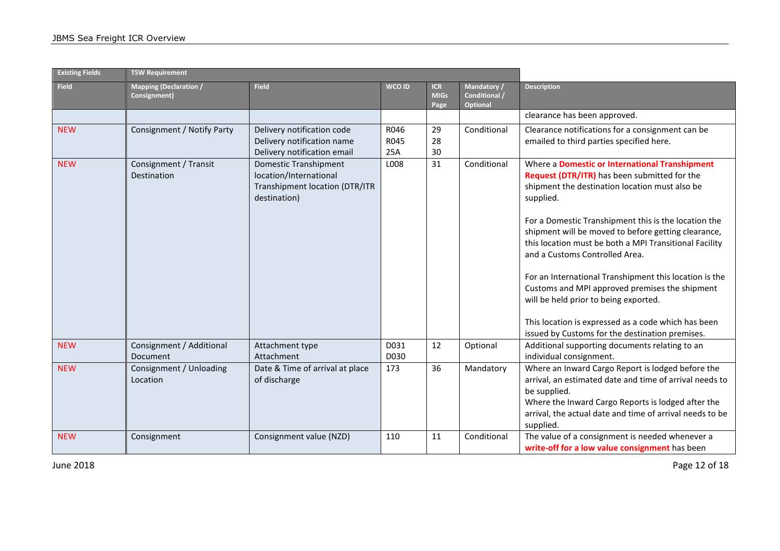| <b>Existing Fields</b> | <b>TSW Requirement</b>                        |                                                                                                   |                     |                                   |                                                 |                                                                                                                                                                                                                                                                                                                                                                                                                                                                                                                                                                                                                                         |
|------------------------|-----------------------------------------------|---------------------------------------------------------------------------------------------------|---------------------|-----------------------------------|-------------------------------------------------|-----------------------------------------------------------------------------------------------------------------------------------------------------------------------------------------------------------------------------------------------------------------------------------------------------------------------------------------------------------------------------------------------------------------------------------------------------------------------------------------------------------------------------------------------------------------------------------------------------------------------------------------|
| <b>Field</b>           | <b>Mapping (Declaration /</b><br>Consignment) | <b>Field</b>                                                                                      | <b>WCO ID</b>       | <b>ICR</b><br><b>MIGs</b><br>Page | Mandatory /<br>Conditional /<br><b>Optional</b> | <b>Description</b>                                                                                                                                                                                                                                                                                                                                                                                                                                                                                                                                                                                                                      |
|                        |                                               |                                                                                                   |                     |                                   |                                                 | clearance has been approved.                                                                                                                                                                                                                                                                                                                                                                                                                                                                                                                                                                                                            |
| <b>NEW</b>             | Consignment / Notify Party                    | Delivery notification code<br>Delivery notification name<br>Delivery notification email           | R046<br>R045<br>25A | 29<br>28<br>30                    | Conditional                                     | Clearance notifications for a consignment can be<br>emailed to third parties specified here.                                                                                                                                                                                                                                                                                                                                                                                                                                                                                                                                            |
| <b>NEW</b>             | Consignment / Transit<br>Destination          | Domestic Transhipment<br>location/International<br>Transhipment location (DTR/ITR<br>destination) | L008                | 31                                | Conditional                                     | Where a Domestic or International Transhipment<br>Request (DTR/ITR) has been submitted for the<br>shipment the destination location must also be<br>supplied.<br>For a Domestic Transhipment this is the location the<br>shipment will be moved to before getting clearance,<br>this location must be both a MPI Transitional Facility<br>and a Customs Controlled Area.<br>For an International Transhipment this location is the<br>Customs and MPI approved premises the shipment<br>will be held prior to being exported.<br>This location is expressed as a code which has been<br>issued by Customs for the destination premises. |
| <b>NEW</b>             | Consignment / Additional<br><b>Document</b>   | Attachment type<br>Attachment                                                                     | D031<br>D030        | 12                                | Optional                                        | Additional supporting documents relating to an<br>individual consignment.                                                                                                                                                                                                                                                                                                                                                                                                                                                                                                                                                               |
| <b>NEW</b>             | Consignment / Unloading<br>Location           | Date & Time of arrival at place<br>of discharge                                                   | 173                 | 36                                | Mandatory                                       | Where an Inward Cargo Report is lodged before the<br>arrival, an estimated date and time of arrival needs to<br>be supplied.<br>Where the Inward Cargo Reports is lodged after the<br>arrival, the actual date and time of arrival needs to be<br>supplied.                                                                                                                                                                                                                                                                                                                                                                             |
| <b>NEW</b>             | Consignment                                   | Consignment value (NZD)                                                                           | 110                 | 11                                | Conditional                                     | The value of a consignment is needed whenever a<br>write-off for a low value consignment has been                                                                                                                                                                                                                                                                                                                                                                                                                                                                                                                                       |

June 2018 Page 12 of 18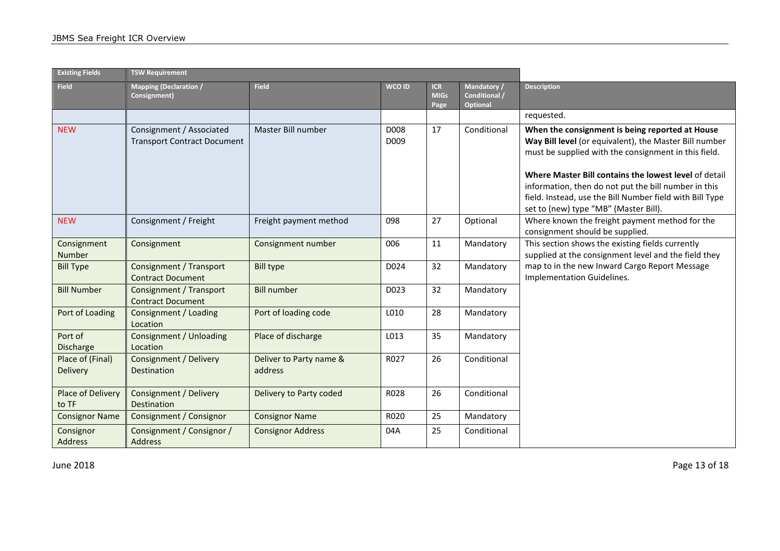| <b>Existing Fields</b>       | <b>TSW Requirement</b>                                         |                                    |              |                                   |                                                 |                                                                                                                                                                                                                                                                                                                                                                                         |
|------------------------------|----------------------------------------------------------------|------------------------------------|--------------|-----------------------------------|-------------------------------------------------|-----------------------------------------------------------------------------------------------------------------------------------------------------------------------------------------------------------------------------------------------------------------------------------------------------------------------------------------------------------------------------------------|
| <b>Field</b>                 | <b>Mapping (Declaration /</b><br>Consignment)                  | <b>Field</b>                       | WCO ID       | <b>ICR</b><br><b>MIGs</b><br>Page | Mandatory /<br>Conditional /<br><b>Optional</b> | <b>Description</b>                                                                                                                                                                                                                                                                                                                                                                      |
|                              |                                                                |                                    |              |                                   |                                                 | requested.                                                                                                                                                                                                                                                                                                                                                                              |
| <b>NEW</b>                   | Consignment / Associated<br><b>Transport Contract Document</b> | Master Bill number                 | D008<br>D009 | 17                                | Conditional                                     | When the consignment is being reported at House<br>Way Bill level (or equivalent), the Master Bill number<br>must be supplied with the consignment in this field.<br>Where Master Bill contains the lowest level of detail<br>information, then do not put the bill number in this<br>field. Instead, use the Bill Number field with Bill Type<br>set to (new) type "MB" (Master Bill). |
| <b>NEW</b>                   | Consignment / Freight                                          | Freight payment method             | 098          | 27                                | Optional                                        | Where known the freight payment method for the<br>consignment should be supplied.                                                                                                                                                                                                                                                                                                       |
| Consignment<br>Number        | Consignment                                                    | Consignment number                 | 006          | 11                                | Mandatory                                       | This section shows the existing fields currently<br>supplied at the consignment level and the field they                                                                                                                                                                                                                                                                                |
| <b>Bill Type</b>             | Consignment / Transport<br><b>Contract Document</b>            | <b>Bill type</b>                   | D024         | 32                                | Mandatory                                       | map to in the new Inward Cargo Report Message<br>Implementation Guidelines.                                                                                                                                                                                                                                                                                                             |
| <b>Bill Number</b>           | <b>Consignment / Transport</b><br><b>Contract Document</b>     | <b>Bill number</b>                 | D023         | 32                                | Mandatory                                       |                                                                                                                                                                                                                                                                                                                                                                                         |
| Port of Loading              | Consignment / Loading<br>Location                              | Port of loading code               | L010         | 28                                | Mandatory                                       |                                                                                                                                                                                                                                                                                                                                                                                         |
| Port of<br><b>Discharge</b>  | Consignment / Unloading<br>Location                            | Place of discharge                 | L013         | 35                                | Mandatory                                       |                                                                                                                                                                                                                                                                                                                                                                                         |
| Place of (Final)<br>Delivery | Consignment / Delivery<br><b>Destination</b>                   | Deliver to Party name &<br>address | R027         | 26                                | Conditional                                     |                                                                                                                                                                                                                                                                                                                                                                                         |
| Place of Delivery<br>to TF   | Consignment / Delivery<br><b>Destination</b>                   | Delivery to Party coded            | R028         | 26                                | Conditional                                     |                                                                                                                                                                                                                                                                                                                                                                                         |
| <b>Consignor Name</b>        | Consignment / Consignor                                        | <b>Consignor Name</b>              | R020         | 25                                | Mandatory                                       |                                                                                                                                                                                                                                                                                                                                                                                         |
| Consignor<br>Address         | Consignment / Consignor /<br><b>Address</b>                    | <b>Consignor Address</b>           | 04A          | 25                                | Conditional                                     |                                                                                                                                                                                                                                                                                                                                                                                         |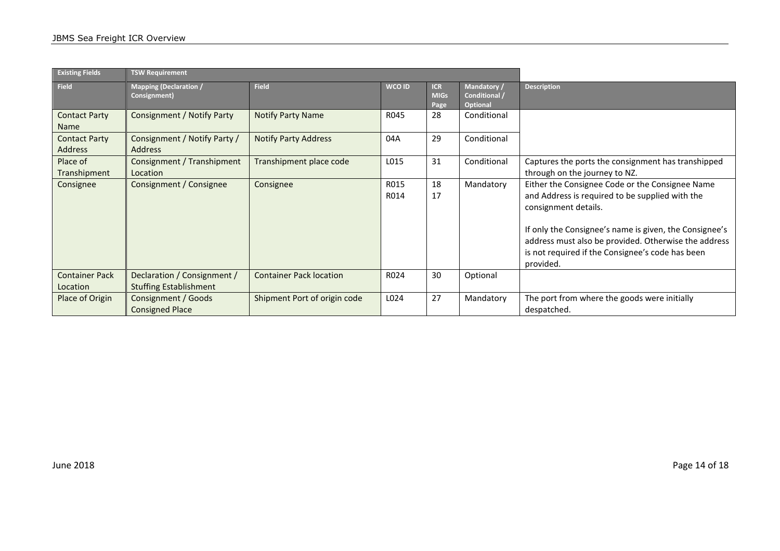| <b>Existing Fields</b>            | <b>TSW Requirement</b>                                       |                                |              |                                   |                                                 |                                                                                                                                                                                                                                                                                                               |
|-----------------------------------|--------------------------------------------------------------|--------------------------------|--------------|-----------------------------------|-------------------------------------------------|---------------------------------------------------------------------------------------------------------------------------------------------------------------------------------------------------------------------------------------------------------------------------------------------------------------|
| <b>Field</b>                      | <b>Mapping (Declaration /</b><br>Consignment)                | <b>Field</b>                   | WCO ID       | <b>ICR</b><br><b>MIGs</b><br>Page | Mandatory /<br>Conditional /<br><b>Optional</b> | <b>Description</b>                                                                                                                                                                                                                                                                                            |
| <b>Contact Party</b><br>Name      | <b>Consignment / Notify Party</b>                            | Notify Party Name              | R045         | 28                                | Conditional                                     |                                                                                                                                                                                                                                                                                                               |
| <b>Contact Party</b><br>Address   | Consignment / Notify Party /<br><b>Address</b>               | <b>Notify Party Address</b>    | 04A          | 29                                | Conditional                                     |                                                                                                                                                                                                                                                                                                               |
| Place of<br>Transhipment          | Consignment / Transhipment<br>Location                       | Transhipment place code        | L015         | 31                                | Conditional                                     | Captures the ports the consignment has transhipped<br>through on the journey to NZ.                                                                                                                                                                                                                           |
| Consignee                         | Consignment / Consignee                                      | Consignee                      | R015<br>R014 | 18<br>17                          | Mandatory                                       | Either the Consignee Code or the Consignee Name<br>and Address is required to be supplied with the<br>consignment details.<br>If only the Consignee's name is given, the Consignee's<br>address must also be provided. Otherwise the address<br>is not required if the Consignee's code has been<br>provided. |
| <b>Container Pack</b><br>Location | Declaration / Consignment /<br><b>Stuffing Establishment</b> | <b>Container Pack location</b> | R024         | 30                                | Optional                                        |                                                                                                                                                                                                                                                                                                               |
| Place of Origin                   | Consignment / Goods<br><b>Consigned Place</b>                | Shipment Port of origin code   | L024         | 27                                | Mandatory                                       | The port from where the goods were initially<br>despatched.                                                                                                                                                                                                                                                   |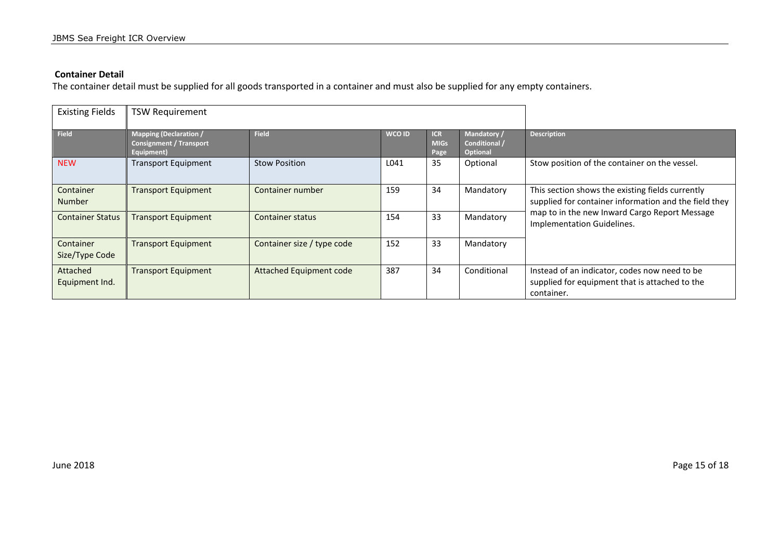### **Container Detail**

The container detail must be supplied for all goods transported in a container and must also be supplied for any empty containers.

| <b>Existing Fields</b>      | <b>TSW Requirement</b>                                                        |                            |        |                                   |                                                 |                                                                                                                                                                                          |
|-----------------------------|-------------------------------------------------------------------------------|----------------------------|--------|-----------------------------------|-------------------------------------------------|------------------------------------------------------------------------------------------------------------------------------------------------------------------------------------------|
| <b>Field</b>                | <b>Mapping (Declaration /</b><br><b>Consignment / Transport</b><br>Equipment) | <b>Field</b>               | WCO ID | <b>ICR</b><br><b>MIGs</b><br>Page | Mandatory /<br>Conditional /<br><b>Optional</b> | <b>Description</b>                                                                                                                                                                       |
| <b>NEW</b>                  | <b>Transport Equipment</b>                                                    | <b>Stow Position</b>       | L041   | 35                                | Optional                                        | Stow position of the container on the vessel.                                                                                                                                            |
| Container<br><b>Number</b>  | <b>Transport Equipment</b>                                                    | Container number           | 159    | 34                                | Mandatory                                       | This section shows the existing fields currently<br>supplied for container information and the field they<br>map to in the new Inward Cargo Report Message<br>Implementation Guidelines. |
| <b>Container Status</b>     | <b>Transport Equipment</b>                                                    | <b>Container status</b>    | 154    | 33                                | Mandatory                                       |                                                                                                                                                                                          |
| Container<br>Size/Type Code | <b>Transport Equipment</b>                                                    | Container size / type code | 152    | 33                                | Mandatory                                       |                                                                                                                                                                                          |
| Attached<br>Equipment Ind.  | <b>Transport Equipment</b>                                                    | Attached Equipment code    | 387    | 34                                | Conditional                                     | Instead of an indicator, codes now need to be<br>supplied for equipment that is attached to the<br>container.                                                                            |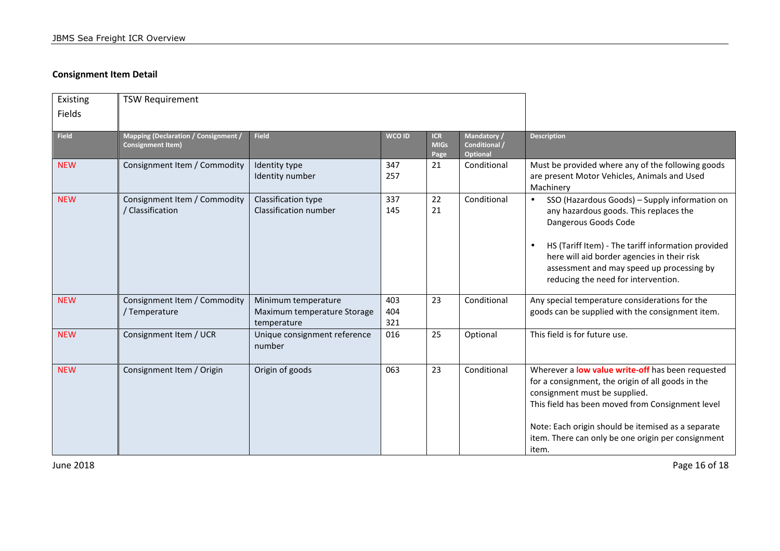### **Consignment Item Detail**

| Existing<br><b>Fields</b> | <b>TSW Requirement</b>                                                  |                                                                   |                   |                                   |                                          |                                                                                                                                                                                                                                                                                                                                    |
|---------------------------|-------------------------------------------------------------------------|-------------------------------------------------------------------|-------------------|-----------------------------------|------------------------------------------|------------------------------------------------------------------------------------------------------------------------------------------------------------------------------------------------------------------------------------------------------------------------------------------------------------------------------------|
| <b>Field</b>              | <b>Mapping (Declaration / Consignment /</b><br><b>Consignment Item)</b> | <b>Field</b>                                                      | <b>WCO ID</b>     | <b>ICR</b><br><b>MIGs</b><br>Page | Mandatory /<br>Conditional /<br>Optional | <b>Description</b>                                                                                                                                                                                                                                                                                                                 |
| <b>NEW</b>                | Consignment Item / Commodity                                            | Identity type<br>Identity number                                  | 347<br>257        | 21                                | Conditional                              | Must be provided where any of the following goods<br>are present Motor Vehicles, Animals and Used<br>Machinery                                                                                                                                                                                                                     |
| <b>NEW</b>                | Consignment Item / Commodity<br>Classification                          | Classification type<br>Classification number                      | 337<br>145        | 22<br>21                          | Conditional                              | SSO (Hazardous Goods) - Supply information on<br>$\bullet$<br>any hazardous goods. This replaces the<br>Dangerous Goods Code<br>HS (Tariff Item) - The tariff information provided<br>$\bullet$<br>here will aid border agencies in their risk<br>assessment and may speed up processing by<br>reducing the need for intervention. |
| <b>NEW</b>                | Consignment Item / Commodity<br>Temperature                             | Minimum temperature<br>Maximum temperature Storage<br>temperature | 403<br>404<br>321 | 23                                | Conditional                              | Any special temperature considerations for the<br>goods can be supplied with the consignment item.                                                                                                                                                                                                                                 |
| <b>NEW</b>                | Consignment Item / UCR                                                  | Unique consignment reference<br>number                            | 016               | 25                                | Optional                                 | This field is for future use.                                                                                                                                                                                                                                                                                                      |
| <b>NEW</b>                | Consignment Item / Origin                                               | Origin of goods                                                   | 063               | 23                                | Conditional                              | Wherever a low value write-off has been requested<br>for a consignment, the origin of all goods in the<br>consignment must be supplied.<br>This field has been moved from Consignment level<br>Note: Each origin should be itemised as a separate<br>item. There can only be one origin per consignment<br>item.                   |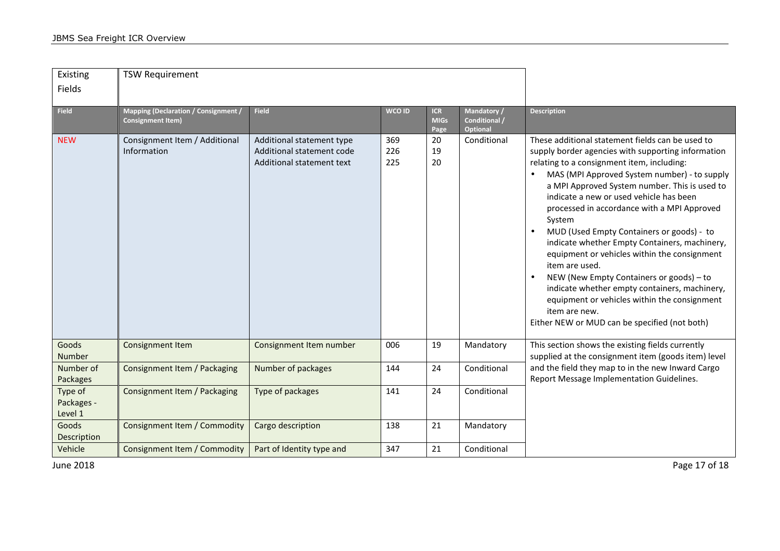| Existing<br>Fields               | <b>TSW Requirement</b>                                                  |                                                                                     |                   |                                   |                                                 |                                                                                                                                                                                                                                                                                                                                                                                                                                                                                                                                                                                                                                                                                                                                                                    |
|----------------------------------|-------------------------------------------------------------------------|-------------------------------------------------------------------------------------|-------------------|-----------------------------------|-------------------------------------------------|--------------------------------------------------------------------------------------------------------------------------------------------------------------------------------------------------------------------------------------------------------------------------------------------------------------------------------------------------------------------------------------------------------------------------------------------------------------------------------------------------------------------------------------------------------------------------------------------------------------------------------------------------------------------------------------------------------------------------------------------------------------------|
| <b>Field</b>                     | <b>Mapping (Declaration / Consignment /</b><br><b>Consignment Item)</b> | <b>Field</b>                                                                        | WCO ID            | <b>ICR</b><br><b>MIGs</b><br>Page | Mandatory /<br>Conditional /<br><b>Optional</b> | <b>Description</b>                                                                                                                                                                                                                                                                                                                                                                                                                                                                                                                                                                                                                                                                                                                                                 |
| <b>NEW</b>                       | Consignment Item / Additional<br>Information                            | Additional statement type<br>Additional statement code<br>Additional statement text | 369<br>226<br>225 | 20<br>19<br>20                    | Conditional                                     | These additional statement fields can be used to<br>supply border agencies with supporting information<br>relating to a consignment item, including:<br>MAS (MPI Approved System number) - to supply<br>a MPI Approved System number. This is used to<br>indicate a new or used vehicle has been<br>processed in accordance with a MPI Approved<br>System<br>MUD (Used Empty Containers or goods) - to<br>$\bullet$<br>indicate whether Empty Containers, machinery,<br>equipment or vehicles within the consignment<br>item are used.<br>NEW (New Empty Containers or goods) - to<br>$\bullet$<br>indicate whether empty containers, machinery,<br>equipment or vehicles within the consignment<br>item are new.<br>Either NEW or MUD can be specified (not both) |
| Goods<br>Number                  | <b>Consignment Item</b>                                                 | Consignment Item number                                                             | 006               | 19                                | Mandatory                                       | This section shows the existing fields currently<br>supplied at the consignment item (goods item) level                                                                                                                                                                                                                                                                                                                                                                                                                                                                                                                                                                                                                                                            |
| Number of<br>Packages            | Consignment Item / Packaging                                            | Number of packages                                                                  | 144               | 24                                | Conditional                                     | and the field they map to in the new Inward Cargo<br>Report Message Implementation Guidelines.                                                                                                                                                                                                                                                                                                                                                                                                                                                                                                                                                                                                                                                                     |
| Type of<br>Packages -<br>Level 1 | Consignment Item / Packaging                                            | Type of packages                                                                    | 141               | 24                                | Conditional                                     |                                                                                                                                                                                                                                                                                                                                                                                                                                                                                                                                                                                                                                                                                                                                                                    |
| Goods<br>Description             | Consignment Item / Commodity                                            | Cargo description                                                                   | 138               | 21                                | Mandatory                                       |                                                                                                                                                                                                                                                                                                                                                                                                                                                                                                                                                                                                                                                                                                                                                                    |
| Vehicle                          | Consignment Item / Commodity                                            | Part of Identity type and                                                           | 347               | 21                                | Conditional                                     |                                                                                                                                                                                                                                                                                                                                                                                                                                                                                                                                                                                                                                                                                                                                                                    |